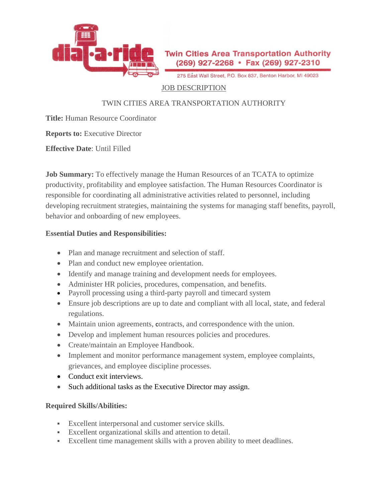

275 East Wall Street, P.O. Box 837, Benton Harbor, MI 49023

### JOB DESCRIPTION

# TWIN CITIES AREA TRANSPORTATION AUTHORITY

**Title:** Human Resource Coordinator

**Reports to:** Executive Director

**Effective Date**: Until Filled

**Job Summary:** To effectively manage the Human Resources of an TCATA to optimize productivity, profitability and employee satisfaction. The Human Resources Coordinator is responsible for coordinating all administrative activities related to personnel, including developing recruitment strategies, maintaining the systems for managing staff benefits, payroll, behavior and onboarding of new employees.

#### **Essential Duties and Responsibilities:**

- Plan and manage recruitment and selection of staff.
- Plan and conduct new employee orientation.
- Identify and manage training and development needs for employees.
- Administer HR policies, procedures, compensation, and benefits.
- Payroll processing using a third-party payroll and timecard system
- Ensure job descriptions are up to date and compliant with all local, state, and federal regulations.
- Maintain union agreements, contracts, and correspondence with the union.
- Develop and implement human resources policies and procedures.
- Create/maintain an Employee Handbook.
- Implement and monitor performance management system, employee complaints, grievances, and employee discipline processes.
- Conduct exit interviews.
- Such additional tasks as the Executive Director may assign.

## **Required Skills/Abilities:**

- Excellent interpersonal and customer service skills.
- Excellent organizational skills and attention to detail.
- Excellent time management skills with a proven ability to meet deadlines.